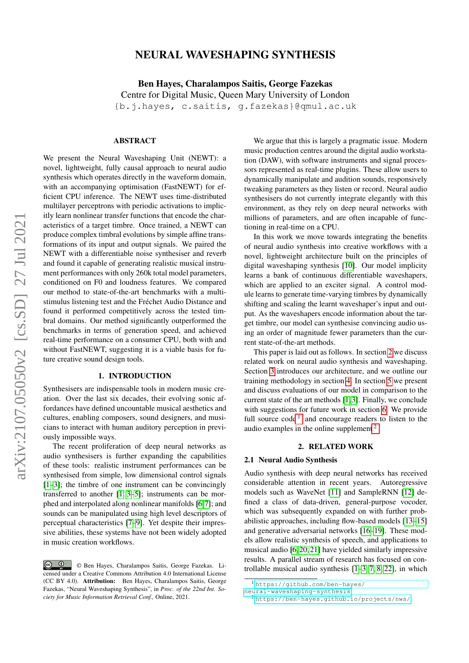# arXiv:2107.05050v2 [cs.SD] 27 Jul 2021 arXiv:2107.05050v2 [cs.SD] 27 Jul 2021

# NEURAL WAVESHAPING SYNTHESIS

Ben Hayes, Charalampos Saitis, George Fazekas Centre for Digital Music, Queen Mary University of London {b.j.hayes, c.saitis, g.fazekas}@qmul.ac.uk

#### ABSTRACT

We present the Neural Waveshaping Unit (NEWT): a novel, lightweight, fully causal approach to neural audio synthesis which operates directly in the waveform domain, with an accompanying optimisation (FastNEWT) for efficient CPU inference. The NEWT uses time-distributed multilayer perceptrons with periodic activations to implicitly learn nonlinear transfer functions that encode the characteristics of a target timbre. Once trained, a NEWT can produce complex timbral evolutions by simple affine transformations of its input and output signals. We paired the NEWT with a differentiable noise synthesiser and reverb and found it capable of generating realistic musical instrument performances with only 260k total model parameters, conditioned on F0 and loudness features. We compared our method to state-of-the-art benchmarks with a multistimulus listening test and the Fréchet Audio Distance and found it performed competitively across the tested timbral domains. Our method significantly outperformed the benchmarks in terms of generation speed, and achieved real-time performance on a consumer CPU, both with and without FastNEWT, suggesting it is a viable basis for future creative sound design tools.

# 1. INTRODUCTION

Synthesisers are indispensable tools in modern music creation. Over the last six decades, their evolving sonic affordances have defined uncountable musical aesthetics and cultures, enabling composers, sound designers, and musicians to interact with human auditory perception in previously impossible ways.

The recent proliferation of deep neural networks as audio synthesisers is further expanding the capabilities of these tools: realistic instrument performances can be synthesised from simple, low dimensional control signals [\[1](#page-6-0)[–3\]](#page-6-1); the timbre of one instrument can be convincingly transferred to another [\[1,](#page-6-0) [3–](#page-6-1)[5\]](#page-6-2); instruments can be morphed and interpolated along nonlinear manifolds [\[6,](#page-6-3)[7\]](#page-6-4); and sounds can be manipulated using high level descriptors of perceptual characteristics [\[7–](#page-6-4)[9\]](#page-6-5). Yet despite their impressive abilities, these systems have not been widely adopted in music creation workflows.

We argue that this is largely a pragmatic issue. Modern music production centres around the digital audio workstation (DAW), with software instruments and signal processors represented as real-time plugins. These allow users to dynamically manipulate and audition sounds, responsively tweaking parameters as they listen or record. Neural audio synthesisers do not currently integrate elegantly with this environment, as they rely on deep neural networks with millions of parameters, and are often incapable of functioning in real-time on a CPU.

In this work we move towards integrating the benefits of neural audio synthesis into creative workflows with a novel, lightweight architecture built on the principles of digital waveshaping synthesis [\[10\]](#page-6-6). Our model implicity learns a bank of continuous differentiable waveshapers, which are applied to an exciter signal. A control module learns to generate time-varying timbres by dynamically shifting and scaling the learnt waveshaper's input and output. As the waveshapers encode information about the target timbre, our model can synthesise convincing audio using an order of magnitude fewer parameters than the current state-of-the-art methods.

This paper is laid out as follows. In section [2](#page-0-0) we discuss related work on neural audio synthesis and waveshaping. Section [3](#page-1-0) introduces our architecture, and we outline our training methodology in section [4.](#page-3-0) In section [5](#page-3-1) we present and discuss evaluations of our model in comparison to the current state of the art methods [\[1,](#page-6-0)[3\]](#page-6-1). Finally, we conclude with suggestions for future work in section [6.](#page-5-0) We provide full source  $code<sup>1</sup>$  $code<sup>1</sup>$  $code<sup>1</sup>$  and encourage readers to listen to the audio examples in the online supplement<sup>[2](#page-0-2)</sup>.

#### 2. RELATED WORK

### <span id="page-0-0"></span>2.1 Neural Audio Synthesis

Audio synthesis with deep neural networks has received considerable attention in recent years. Autoregressive models such as WaveNet [\[11\]](#page-6-7) and SampleRNN [\[12\]](#page-6-8) defined a class of data-driven, general-purpose vocoder, which was subsequently expanded on with further probabilistic approaches, including flow-based models [\[13](#page-6-9)[–15\]](#page-6-10) and generative adversarial networks [\[16](#page-6-11)[–19\]](#page-7-0). These models allow realistic synthesis of speech, and applications to musical audio [\[6,](#page-6-3) [20,](#page-7-1) [21\]](#page-7-2) have yielded similarly impressive results. A parallel stream of research has focused on controllable musical audio synthesis [\[1–](#page-6-0)[3,](#page-6-1) [7,](#page-6-4) [8,](#page-6-12) [22\]](#page-7-3), in which

 $\circ$   $\circ$ © Ben Hayes, Charalampos Saitis, George Fazekas. Licensed under a Creative Commons Attribution 4.0 International License (CC BY 4.0). Attribution: Ben Hayes, Charalampos Saitis, George Fazekas, "Neural Waveshaping Synthesis", in *Proc. of the 22nd Int. Society for Music Information Retrieval Conf.,* Online, 2021.

<span id="page-0-1"></span><sup>1</sup> [https://github.com/ben-hayes/](https://github.com/ben-hayes/neural-waveshaping-synthesis)

[neural-waveshaping-synthesis](https://github.com/ben-hayes/neural-waveshaping-synthesis) <sup>2</sup> <https://ben-hayes.github.io/projects/nws/>

<span id="page-0-2"></span>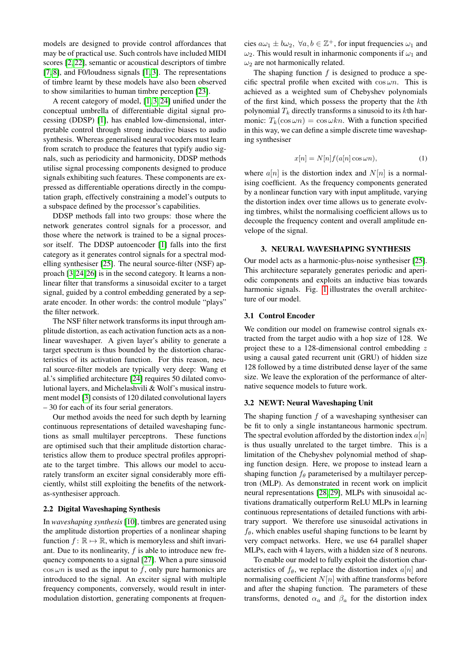models are designed to provide control affordances that may be of practical use. Such controls have included MIDI scores [\[2,](#page-6-13) [22\]](#page-7-3), semantic or acoustical descriptors of timbre [\[7,](#page-6-4) [8\]](#page-6-12), and F0/loudness signals [\[1,](#page-6-0) [3\]](#page-6-1). The representations of timbre learnt by these models have also been observed to show similarities to human timbre perception [\[23\]](#page-7-4).

A recent category of model, [\[1,](#page-6-0) [3,](#page-6-1) [24\]](#page-7-5) unified under the conceptual umbrella of differentiable digital signal processing (DDSP) [\[1\]](#page-6-0), has enabled low-dimensional, interpretable control through strong inductive biases to audio synthesis. Whereas generalised neural vocoders must learn from scratch to produce the features that typify audio signals, such as periodicity and harmonicity, DDSP methods utilise signal processing components designed to produce signals exhibiting such features. These components are expressed as differentiable operations directly in the computation graph, effectively constraining a model's outputs to a subspace defined by the processor's capabilities.

DDSP methods fall into two groups: those where the network generates control signals for a processor, and those where the network is trained to be a signal processor itself. The DDSP autoencoder [\[1\]](#page-6-0) falls into the first category as it generates control signals for a spectral modelling synthesiser [\[25\]](#page-7-6). The neural source-filter (NSF) approach [\[3,](#page-6-1) [24,](#page-7-5) [26\]](#page-7-7) is in the second category. It learns a nonlinear filter that transforms a sinusoidal exciter to a target signal, guided by a control embedding generated by a separate encoder. In other words: the control module "plays" the filter network.

The NSF filter network transforms its input through amplitude distortion, as each activation function acts as a nonlinear waveshaper. A given layer's ability to generate a target spectrum is thus bounded by the distortion characteristics of its activation function. For this reason, neural source-filter models are typically very deep: Wang et al.'s simplified architecture [\[24\]](#page-7-5) requires 50 dilated convolutional layers, and Michelashvili & Wolf's musical instrument model [\[3\]](#page-6-1) consists of 120 dilated convolutional layers – 30 for each of its four serial generators.

Our method avoids the need for such depth by learning continuous representations of detailed waveshaping functions as small multilayer perceptrons. These functions are optimised such that their amplitude distortion characteristics allow them to produce spectral profiles appropriate to the target timbre. This allows our model to accurately transform an exciter signal considerably more efficiently, whilst still exploiting the benefits of the networkas-synthesiser approach.

#### 2.2 Digital Waveshaping Synthesis

In *waveshaping synthesis* [\[10\]](#page-6-6), timbres are generated using the amplitude distortion properties of a nonlinear shaping function  $f : \mathbb{R} \to \mathbb{R}$ , which is memoryless and shift invariant. Due to its nonlinearity,  $f$  is able to introduce new frequency components to a signal [\[27\]](#page-7-8). When a pure sinusoid  $\cos \omega n$  is used as the input to f, only pure harmonics are introduced to the signal. An exciter signal with multiple frequency components, conversely, would result in intermodulation distortion, generating components at frequen-

cies  $a\omega_1 \pm b\omega_2$ ,  $\forall a, b \in \mathbb{Z}^+$ , for input frequencies  $\omega_1$  and  $\omega_2$ . This would result in inharmonic components if  $\omega_1$  and  $\omega_2$  are not harmonically related.

The shaping function  $f$  is designed to produce a specific spectral profile when excited with  $\cos \omega n$ . This is achieved as a weighted sum of Chebyshev polynomials of the first kind, which possess the property that the kth polynomial  $T_k$  directly transforms a sinusoid to its kth harmonic:  $T_k(\cos \omega n) = \cos \omega k n$ . With a function specified in this way, we can define a simple discrete time waveshaping synthesiser

$$
x[n] = N[n]f(a[n]\cos\omega n),\tag{1}
$$

where  $a[n]$  is the distortion index and  $N[n]$  is a normalising coefficient. As the frequency components generated by a nonlinear function vary with input amplitude, varying the distortion index over time allows us to generate evolving timbres, whilst the normalising coefficient allows us to decouple the frequency content and overall amplitude envelope of the signal.

#### 3. NEURAL WAVESHAPING SYNTHESIS

<span id="page-1-0"></span>Our model acts as a harmonic-plus-noise synthesiser [\[25\]](#page-7-6). This architecture separately generates periodic and aperiodic components and exploits an inductive bias towards harmonic signals. Fig. [1](#page-2-0) illustrates the overall architecture of our model.

#### 3.1 Control Encoder

We condition our model on framewise control signals extracted from the target audio with a hop size of 128. We project these to a 128-dimensional control embedding z using a causal gated recurrent unit (GRU) of hidden size 128 followed by a time distributed dense layer of the same size. We leave the exploration of the performance of alternative sequence models to future work.

# 3.2 NEWT: Neural Waveshaping Unit

The shaping function  $f$  of a waveshaping synthesiser can be fit to only a single instantaneous harmonic spectrum. The spectral evolution afforded by the distortion index  $a[n]$ is thus usually unrelated to the target timbre. This is a limitation of the Chebyshev polynomial method of shaping function design. Here, we propose to instead learn a shaping function  $f_{\theta}$  parameterised by a multilayer perceptron (MLP). As demonstrated in recent work on implicit neural representations [\[28,](#page-7-9) [29\]](#page-7-10), MLPs with sinusoidal activations dramatically outperform ReLU MLPs in learning continuous representations of detailed functions with arbitrary support. We therefore use sinusoidal activations in  $f_{\theta}$ , which enables useful shaping functions to be learnt by very compact networks. Here, we use 64 parallel shaper MLPs, each with 4 layers, with a hidden size of 8 neurons.

To enable our model to fully exploit the distortion characteristics of  $f_{\theta}$ , we replace the distortion index  $a[n]$  and normalising coefficient  $N[n]$  with affine transforms before and after the shaping function. The parameters of these transforms, denoted  $\alpha_a$  and  $\beta_a$  for the distortion index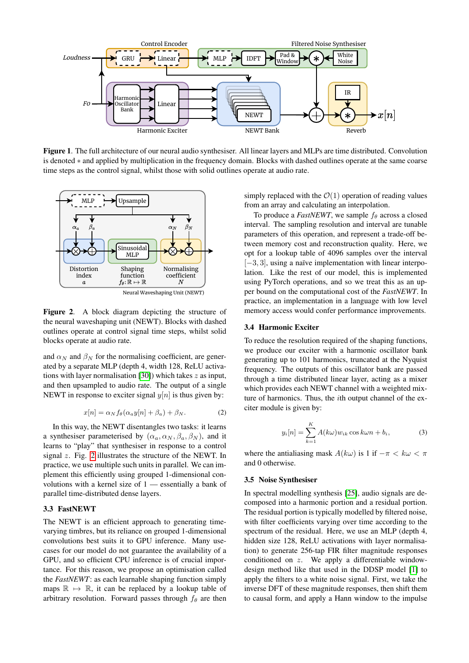

<span id="page-2-0"></span>Figure 1. The full architecture of our neural audio synthesiser. All linear layers and MLPs are time distributed. Convolution is denoted ∗ and applied by multiplication in the frequency domain. Blocks with dashed outlines operate at the same coarse time steps as the control signal, whilst those with solid outlines operate at audio rate.



<span id="page-2-1"></span>Figure 2. A block diagram depicting the structure of the neural waveshaping unit (NEWT). Blocks with dashed outlines operate at control signal time steps, whilst solid blocks operate at audio rate.

and  $\alpha_N$  and  $\beta_N$  for the normalising coefficient, are generated by a separate MLP (depth 4, width 128, ReLU activa-tions with layer normalisation [\[30\]](#page-7-11)) which takes  $z$  as input. and then upsampled to audio rate. The output of a single NEWT in response to exciter signal  $y[n]$  is thus given by:

$$
x[n] = \alpha_N f_\theta(\alpha_a y[n] + \beta_a) + \beta_N. \tag{2}
$$

In this way, the NEWT disentangles two tasks: it learns a synthesiser parameterised by  $(\alpha_a, \alpha_N, \beta_a, \beta_N)$ , and it learns to "play" that synthesiser in response to a control signal  $z$ . Fig. [2](#page-2-1) illustrates the structure of the NEWT. In practice, we use multiple such units in parallel. We can implement this efficiently using grouped 1-dimensional convolutions with a kernel size of 1 — essentially a bank of parallel time-distributed dense layers.

# 3.3 FastNEWT

The NEWT is an efficient approach to generating timevarying timbres, but its reliance on grouped 1-dimensional convolutions best suits it to GPU inference. Many usecases for our model do not guarantee the availability of a GPU, and so efficient CPU inference is of crucial importance. For this reason, we propose an optimisation called the *FastNEWT*: as each learnable shaping function simply maps  $\mathbb{R} \mapsto \mathbb{R}$ , it can be replaced by a lookup table of arbitrary resolution. Forward passes through  $f_\theta$  are then

simply replaced with the  $\mathcal{O}(1)$  operation of reading values from an array and calculating an interpolation.

To produce a *FastNEWT*, we sample  $f_{\theta}$  across a closed interval. The sampling resolution and interval are tunable parameters of this operation, and represent a trade-off between memory cost and reconstruction quality. Here, we opt for a lookup table of 4096 samples over the interval [−3, 3], using a naïve implementation with linear interpolation. Like the rest of our model, this is implemented using PyTorch operations, and so we treat this as an upper bound on the computational cost of the *FastNEWT*. In practice, an implementation in a language with low level memory access would confer performance improvements.

### 3.4 Harmonic Exciter

To reduce the resolution required of the shaping functions, we produce our exciter with a harmonic oscillator bank generating up to 101 harmonics, truncated at the Nyquist frequency. The outputs of this oscillator bank are passed through a time distributed linear layer, acting as a mixer which provides each NEWT channel with a weighted mixture of harmonics. Thus, the ith output channel of the exciter module is given by:

$$
y_i[n] = \sum_{k=1}^{K} A(k\omega) w_{ik} \cos k\omega n + b_i,
$$
 (3)

where the antialiasing mask  $A(k\omega)$  is 1 if  $-\pi < k\omega < \pi$ and 0 otherwise.

# 3.5 Noise Synthesiser

In spectral modelling synthesis [\[25\]](#page-7-6), audio signals are decomposed into a harmonic portion and a residual portion. The residual portion is typically modelled by filtered noise, with filter coefficients varying over time according to the spectrum of the residual. Here, we use an MLP (depth 4, hidden size 128, ReLU activations with layer normalisation) to generate 256-tap FIR filter magnitude responses conditioned on z. We apply a differentiable windowdesign method like that used in the DDSP model [\[1\]](#page-6-0) to apply the filters to a white noise signal. First, we take the inverse DFT of these magnitude responses, then shift them to causal form, and apply a Hann window to the impulse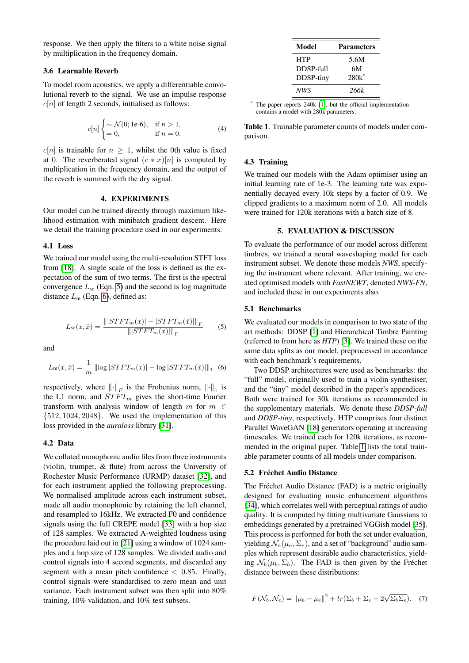response. We then apply the filters to a white noise signal by multiplication in the frequency domain.

#### 3.6 Learnable Reverb

To model room acoustics, we apply a differentiable convolutional reverb to the signal. We use an impulse response  $c[n]$  of length 2 seconds, initialised as follows:

$$
c[n] \begin{cases} \sim \mathcal{N}(0; 1e-6), & \text{if } n > 1, \\ = 0, & \text{if } n = 0. \end{cases}
$$
 (4)

 $c[n]$  is trainable for  $n \geq 1$ , whilst the 0th value is fixed at 0. The reverberated signal  $(c * x)[n]$  is computed by multiplication in the frequency domain, and the output of the reverb is summed with the dry signal.

# 4. EXPERIMENTS

<span id="page-3-0"></span>Our model can be trained directly through maximum likelihood estimation with minibatch gradient descent. Here we detail the training procedure used in our experiments.

## 4.1 Loss

We trained our model using the multi-resolution STFT loss from [\[18\]](#page-6-14). A single scale of the loss is defined as the expectation of the sum of two terms. The first is the spectral convergence  $L_{sc}$  (Eqn. [5\)](#page-3-2) and the second is log magnitude distance  $L_m$  (Eqn. [6\)](#page-3-3), defined as:

<span id="page-3-2"></span>
$$
L_{\rm sc}(x,\hat{x}) = \frac{\left\| |STFT_m(x)| - |STFT_m(\hat{x})| \right\|_F}{\left\| |STFT_m(x)| \right\|_F} \tag{5}
$$

and

<span id="page-3-3"></span>
$$
L_{\rm m}(x,\hat{x}) = \frac{1}{m} \left\| \log |STFT_m(x)| - \log |STFT_m(\hat{x})| \right\|_1 \tag{6}
$$

respectively, where  $\left\| \cdot \right\|_F$  is the Frobenius norm,  $\left\| \cdot \right\|_1$  is the L1 norm, and  $STFT_m$  gives the short-time Fourier transform with analysis window of length m for  $m \in$  ${512, 1024, 2048}$ . We used the implementation of this loss provided in the *auraloss* library [\[31\]](#page-7-12).

# 4.2 Data

We collated monophonic audio files from three instruments (violin, trumpet, & flute) from across the University of Rochester Music Performance (URMP) dataset [\[32\]](#page-7-13), and for each instrument applied the following preprocessing. We normalised amplitude across each instrument subset, made all audio monophonic by retaining the left channel, and resampled to 16kHz. We extracted F0 and confidence signals using the full CREPE model [\[33\]](#page-7-14) with a hop size of 128 samples. We extracted A-weighted loudness using the procedure laid out in [\[21\]](#page-7-2) using a window of 1024 samples and a hop size of 128 samples. We divided audio and control signals into 4 second segments, and discarded any segment with a mean pitch confidence  $< 0.85$ . Finally, control signals were standardised to zero mean and unit variance. Each instrument subset was then split into 80% training, 10% validation, and 10% test subsets.

| Model      | <b>Parameters</b> |
|------------|-------------------|
| <b>HTP</b> | 5.6M              |
| DDSP-full  | 6M                |
| DDSP-tiny  | $280k^*$          |
| NWS        | 266k              |

<span id="page-3-4"></span>The paper reports 240k [\[1\]](#page-6-0), but the official implementation contains a model with 280k parameters.

Table 1. Trainable parameter counts of models under comparison.

# 4.3 Training

We trained our models with the Adam optimiser using an initial learning rate of 1e-3. The learning rate was exponentially decayed every 10k steps by a factor of 0.9. We clipped gradients to a maximum norm of 2.0. All models were trained for 120k iterations with a batch size of 8.

#### 5. EVALUATION & DISCUSSON

<span id="page-3-1"></span>To evaluate the performance of our model across different timbres, we trained a neural waveshaping model for each instrument subset. We denote these models *NWS*, specifying the instrument where relevant. After training, we created optimised models with *FastNEWT*, denoted *NWS-FN*, and included these in our experiments also.

#### 5.1 Benchmarks

We evaluated our models in comparison to two state of the art methods: DDSP [\[1\]](#page-6-0) and Hierarchical Timbre Painting (referred to from here as *HTP*) [\[3\]](#page-6-1). We trained these on the same data splits as our model, preprocessed in accordance with each benchmark's requirements.

Two DDSP architectures were used as benchmarks: the "full" model, originally used to train a violin synthesiser, and the "tiny" model described in the paper's appendices. Both were trained for 30k iterations as recommended in the supplementary materials. We denote these *DDSP-full* and *DDSP-tiny*, respectively. HTP comprises four distinct Parallel WaveGAN [\[18\]](#page-6-14) generators operating at increasing timescales. We trained each for 120k iterations, as recommended in the original paper. Table [1](#page-3-4) lists the total trainable parameter counts of all models under comparison.

# 5.2 Fréchet Audio Distance

The Fréchet Audio Distance (FAD) is a metric originally designed for evaluating music enhancement algorithms [\[34\]](#page-7-15), which correlates well with perceptual ratings of audio quality. It is computed by fitting multivariate Gaussians to embeddings generated by a pretrained VGGish model [\[35\]](#page-7-16). This process is performed for both the set under evaluation, yielding  $\mathcal{N}_e(\mu_e, \Sigma_e)$ , and a set of "background" audio samples which represent desirable audio characteristics, yielding  $\mathcal{N}_b(\mu_b, \Sigma_b)$ . The FAD is then given by the Fréchet distance between these distributions:

$$
F(\mathcal{N}_b, \mathcal{N}_e) = ||\mu_b - \mu_e||^2 + tr(\Sigma_b + \Sigma_e - 2\sqrt{\Sigma_b \Sigma_e}).
$$
 (7)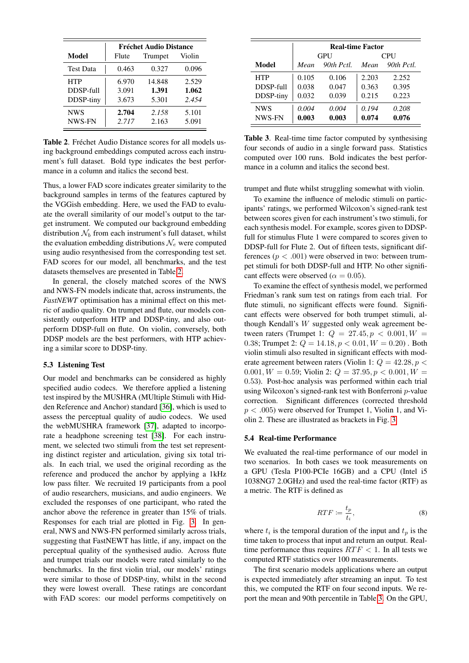|                  | <b>Fréchet Audio Distance</b> |         |        |  |  |
|------------------|-------------------------------|---------|--------|--|--|
| Model            | Flute                         | Trumpet | Violin |  |  |
| <b>Test Data</b> | 0.463                         | 0.327   | 0.096  |  |  |
| <b>HTP</b>       | 6.970                         | 14.848  | 2.529  |  |  |
| DDSP-full        | 3.091                         | 1.391   | 1.062  |  |  |
| DDSP-tiny        | 3.673                         | 5.301   | 2.454  |  |  |
| <b>NWS</b>       | 2.704                         | 2.158   | 5.101  |  |  |
| NWS-FN           | 2.717                         | 2.163   | 5.091  |  |  |

<span id="page-4-0"></span>Table 2. Fréchet Audio Distance scores for all models using background embeddings computed across each instrument's full dataset. Bold type indicates the best performance in a column and italics the second best.

Thus, a lower FAD score indicates greater similarity to the background samples in terms of the features captured by the VGGish embedding. Here, we used the FAD to evaluate the overall similarity of our model's output to the target instrument. We computed our background embedding distribution  $\mathcal{N}_b$  from each instrument's full dataset, whilst the evaluation embedding distributions  $\mathcal{N}_e$  were computed using audio resynthesised from the corresponding test set. FAD scores for our model, all benchmarks, and the test datasets themselves are presented in Table [2.](#page-4-0)

In general, the closely matched scores of the NWS and NWS-FN models indicate that, across instruments, the *FastNEWT* optimisation has a minimal effect on this metric of audio quality. On trumpet and flute, our models consistently outperform HTP and DDSP-tiny, and also outperform DDSP-full on flute. On violin, conversely, both DDSP models are the best performers, with HTP achieving a similar score to DDSP-tiny.

#### 5.3 Listening Test

Our model and benchmarks can be considered as highly specified audio codecs. We therefore applied a listening test inspired by the MUSHRA (MUltiple Stimuli with Hidden Reference and Anchor) standard [\[36\]](#page-7-17), which is used to assess the perceptual quality of audio codecs. We used the webMUSHRA framework [\[37\]](#page-7-18), adapted to incorporate a headphone screening test [\[38\]](#page-7-19). For each instrument, we selected two stimuli from the test set representing distinct register and articulation, giving six total trials. In each trial, we used the original recording as the reference and produced the anchor by applying a 1kHz low pass filter. We recruited 19 participants from a pool of audio researchers, musicians, and audio engineers. We excluded the responses of one participant, who rated the anchor above the reference in greater than 15% of trials. Responses for each trial are plotted in Fig. [3.](#page-5-1) In general, NWS and NWS-FN performed similarly across trials, suggesting that FastNEWT has little, if any, impact on the perceptual quality of the synthesised audio. Across flute and trumpet trials our models were rated similarly to the benchmarks. In the first violin trial, our models' ratings were similar to those of DDSP-tiny, whilst in the second they were lowest overall. These ratings are concordant with FAD scores: our model performs competitively on

|            | <b>Real-time Factor</b> |              |            |            |
|------------|-------------------------|--------------|------------|------------|
|            | <b>GPU</b>              |              | <b>CPU</b> |            |
| Model      | Mean                    | $90th$ Pctl. | Mean       | 90th Pctl. |
| <b>HTP</b> | 0.105                   | 0.106        | 2.203      | 2.252      |
| DDSP-full  | 0.038                   | 0.047        | 0.363      | 0.395      |
| DDSP-tiny  | 0.032                   | 0.039        | 0.215      | 0.223      |
| <b>NWS</b> | 0.004                   | 0.004        | 0.194      | 0.208      |
| NWS-FN     | 0.003                   | 0.003        | 0.074      | 0.076      |

<span id="page-4-1"></span>Table 3. Real-time time factor computed by synthesising four seconds of audio in a single forward pass. Statistics computed over 100 runs. Bold indicates the best performance in a column and italics the second best.

trumpet and flute whilst struggling somewhat with violin.

To examine the influence of melodic stimuli on participants' ratings, we performed Wilcoxon's signed-rank test between scores given for each instrument's two stimuli, for each synthesis model. For example, scores given to DDSPfull for stimulus Flute 1 were compared to scores given to DDSP-full for Flute 2. Out of fifteen tests, significant differences ( $p < .001$ ) were observed in two: between trumpet stimuli for both DDSP-full and HTP. No other significant effects were observed ( $\alpha = 0.05$ ).

To examine the effect of synthesis model, we performed Friedman's rank sum test on ratings from each trial. For flute stimuli, no significant effects were found. Significant effects were observed for both trumpet stimuli, although Kendall's W suggested only weak agreement between raters (Trumpet 1:  $Q = 27.45, p < 0.001, W =$ 0.38; Trumpet 2:  $Q = 14.18, p < 0.01, W = 0.20$ . Both violin stimuli also resulted in significant effects with moderate agreement between raters (Violin 1:  $Q = 42.28, p <$ 0.001,  $W = 0.59$ ; Violin 2:  $Q = 37.95, p < 0.001, W =$ 0.53). Post-hoc analysis was performed within each trial using Wilcoxon's signed-rank test with Bonferroni p-value correction. Significant differences (corrected threshold  $p < .005$ ) were observed for Trumpet 1, Violin 1, and Violin 2. These are illustrated as brackets in Fig. [3.](#page-5-1)

## 5.4 Real-time Performance

We evaluated the real-time performance of our model in two scenarios. In both cases we took measurements on a GPU (Tesla P100-PCIe 16GB) and a CPU (Intel i5 1038NG7 2.0GHz) and used the real-time factor (RTF) as a metric. The RTF is defined as

$$
RTF := \frac{t_p}{t_i},\tag{8}
$$

where  $t_i$  is the temporal duration of the input and  $t_p$  is the time taken to process that input and return an output. Realtime performance thus requires  $RTF < 1$ . In all tests we computed RTF statistics over 100 measurements.

The first scenario models applications where an output is expected immediately after streaming an input. To test this, we computed the RTF on four second inputs. We report the mean and 90th percentile in Table [3.](#page-4-1) On the GPU,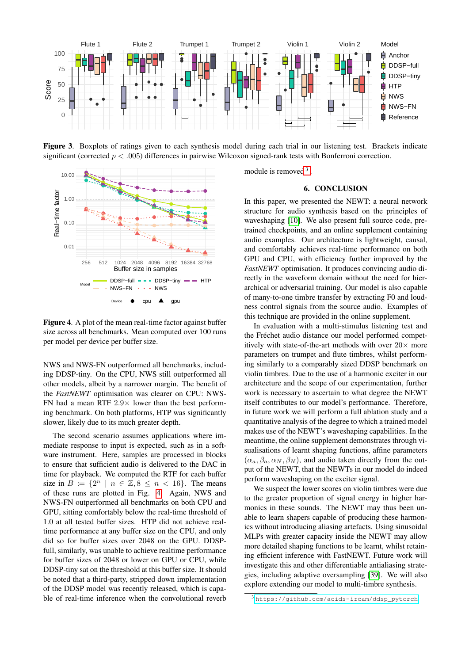

<span id="page-5-1"></span>Figure 3. Boxplots of ratings given to each synthesis model during each trial in our listening test. Brackets indicate significant (corrected  $p < .005$ ) differences in pairwise Wilcoxon signed-rank tests with Bonferroni correction.



<span id="page-5-2"></span>Figure 4. A plot of the mean real-time factor against buffer size across all benchmarks. Mean computed over 100 runs per model per device per buffer size.

NWS and NWS-FN outperformed all benchmarks, including DDSP-tiny. On the CPU, NWS still outperformed all other models, albeit by a narrower margin. The benefit of the *FastNEWT* optimisation was clearer on CPU: NWS-FN had a mean RTF  $2.9 \times$  lower than the best performing benchmark. On both platforms, HTP was significantly slower, likely due to its much greater depth.

The second scenario assumes applications where immediate response to input is expected, such as in a software instrument. Here, samples are processed in blocks to ensure that sufficient audio is delivered to the DAC in time for playback. We computed the RTF for each buffer size in  $B := \{2^n \mid n \in \mathbb{Z}, 8 \leq n < 16\}$ . The means of these runs are plotted in Fig. [4.](#page-5-2) Again, NWS and NWS-FN outperformed all benchmarks on both CPU and GPU, sitting comfortably below the real-time threshold of 1.0 at all tested buffer sizes. HTP did not achieve realtime performance at any buffer size on the CPU, and only did so for buffer sizes over 2048 on the GPU. DDSPfull, similarly, was unable to achieve realtime performance for buffer sizes of 2048 or lower on GPU or CPU, while DDSP-tiny sat on the threshold at this buffer size. It should be noted that a third-party, stripped down implementation of the DDSP model was recently released, which is capable of real-time inference when the convolutional reverb <span id="page-5-0"></span>module is removed<sup>[3](#page-5-3)</sup>.

# 6. CONCLUSION

In this paper, we presented the NEWT: a neural network structure for audio synthesis based on the principles of waveshaping [\[10\]](#page-6-6). We also present full source code, pretrained checkpoints, and an online supplement containing audio examples. Our architecture is lightweight, causal, and comfortably achieves real-time performance on both GPU and CPU, with efficiency further improved by the *FastNEWT* optimisation. It produces convincing audio directly in the waveform domain without the need for hierarchical or adversarial training. Our model is also capable of many-to-one timbre transfer by extracting F0 and loudness control signals from the source audio. Examples of this technique are provided in the online supplement.

In evaluation with a multi-stimulus listening test and the Fréchet audio distance our model performed competitively with state-of-the-art methods with over  $20\times$  more parameters on trumpet and flute timbres, whilst performing similarly to a comparably sized DDSP benchmark on violin timbres. Due to the use of a harmonic exciter in our architecture and the scope of our experimentation, further work is necessary to ascertain to what degree the NEWT itself contributes to our model's performance. Therefore, in future work we will perform a full ablation study and a quantitative analysis of the degree to which a trained model makes use of the NEWT's waveshaping capabilities. In the meantime, the online supplement demonstrates through visualisations of learnt shaping functions, affine parameters  $(\alpha_a, \beta_a, \alpha_N, \beta_N)$ , and audio taken directly from the output of the NEWT, that the NEWTs in our model do indeed perform waveshaping on the exciter signal.

We suspect the lower scores on violin timbres were due to the greater proportion of signal energy in higher harmonics in these sounds. The NEWT may thus been unable to learn shapers capable of producing these harmonics without introducing aliasing artefacts. Using sinusoidal MLPs with greater capacity inside the NEWT may allow more detailed shaping functions to be learnt, whilst retaining efficient inference with FastNEWT. Future work will investigate this and other differentiable antialiasing strategies, including adaptive oversampling [\[39\]](#page-7-20). We will also explore extending our model to multi-timbre synthesis.

<span id="page-5-3"></span><sup>3</sup> [https://github.com/acids-ircam/ddsp\\_pytorch](https://github.com/acids-ircam/ddsp_pytorch)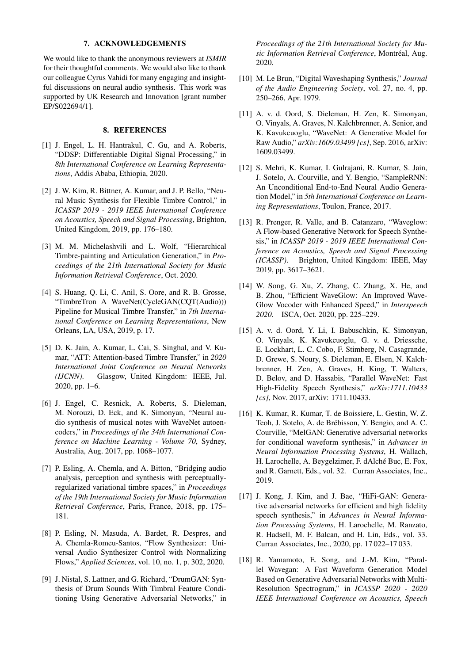#### 7. ACKNOWLEDGEMENTS

We would like to thank the anonymous reviewers at *ISMIR* for their thoughtful comments. We would also like to thank our colleague Cyrus Vahidi for many engaging and insightful discussions on neural audio synthesis. This work was supported by UK Research and Innovation [grant number EP/S022694/1].

# 8. REFERENCES

- <span id="page-6-0"></span>[1] J. Engel, L. H. Hantrakul, C. Gu, and A. Roberts, "DDSP: Differentiable Digital Signal Processing," in *8th International Conference on Learning Representations*, Addis Ababa, Ethiopia, 2020.
- <span id="page-6-13"></span>[2] J. W. Kim, R. Bittner, A. Kumar, and J. P. Bello, "Neural Music Synthesis for Flexible Timbre Control," in *ICASSP 2019 - 2019 IEEE International Conference on Acoustics, Speech and Signal Processing*, Brighton, United Kingdom, 2019, pp. 176–180.
- <span id="page-6-1"></span>[3] M. M. Michelashvili and L. Wolf, "Hierarchical Timbre-painting and Articulation Generation," in *Proceedings of the 21th International Society for Music Information Retrieval Conference*, Oct. 2020.
- [4] S. Huang, Q. Li, C. Anil, S. Oore, and R. B. Grosse, "TimbreTron A WaveNet(CycleGAN(CQT(Audio))) Pipeline for Musical Timbre Transfer," in *7th International Conference on Learning Representations*, New Orleans, LA, USA, 2019, p. 17.
- <span id="page-6-2"></span>[5] D. K. Jain, A. Kumar, L. Cai, S. Singhal, and V. Kumar, "ATT: Attention-based Timbre Transfer," in *2020 International Joint Conference on Neural Networks (IJCNN)*. Glasgow, United Kingdom: IEEE, Jul. 2020, pp. 1–6.
- <span id="page-6-3"></span>[6] J. Engel, C. Resnick, A. Roberts, S. Dieleman, M. Norouzi, D. Eck, and K. Simonyan, "Neural audio synthesis of musical notes with WaveNet autoencoders," in *Proceedings of the 34th International Conference on Machine Learning - Volume 70*, Sydney, Australia, Aug. 2017, pp. 1068–1077.
- <span id="page-6-4"></span>[7] P. Esling, A. Chemla, and A. Bitton, "Bridging audio analysis, perception and synthesis with perceptuallyregularized variational timbre spaces," in *Proceedings of the 19th International Society for Music Information Retrieval Conference*, Paris, France, 2018, pp. 175– 181.
- <span id="page-6-12"></span>[8] P. Esling, N. Masuda, A. Bardet, R. Despres, and A. Chemla-Romeu-Santos, "Flow Synthesizer: Universal Audio Synthesizer Control with Normalizing Flows," *Applied Sciences*, vol. 10, no. 1, p. 302, 2020.
- <span id="page-6-5"></span>[9] J. Nistal, S. Lattner, and G. Richard, "DrumGAN: Synthesis of Drum Sounds With Timbral Feature Conditioning Using Generative Adversarial Networks," in

*Proceedings of the 21th International Society for Music Information Retrieval Conference*, Montréal, Aug. 2020.

- <span id="page-6-6"></span>[10] M. Le Brun, "Digital Waveshaping Synthesis," *Journal of the Audio Engineering Society*, vol. 27, no. 4, pp. 250–266, Apr. 1979.
- <span id="page-6-7"></span>[11] A. v. d. Oord, S. Dieleman, H. Zen, K. Simonyan, O. Vinyals, A. Graves, N. Kalchbrenner, A. Senior, and K. Kavukcuoglu, "WaveNet: A Generative Model for Raw Audio," *arXiv:1609.03499 [cs]*, Sep. 2016, arXiv: 1609.03499.
- <span id="page-6-8"></span>[12] S. Mehri, K. Kumar, I. Gulrajani, R. Kumar, S. Jain, J. Sotelo, A. Courville, and Y. Bengio, "SampleRNN: An Unconditional End-to-End Neural Audio Generation Model," in *5th International Conference on Learning Representations*, Toulon, France, 2017.
- <span id="page-6-9"></span>[13] R. Prenger, R. Valle, and B. Catanzaro, "Waveglow: A Flow-based Generative Network for Speech Synthesis," in *ICASSP 2019 - 2019 IEEE International Conference on Acoustics, Speech and Signal Processing (ICASSP)*. Brighton, United Kingdom: IEEE, May 2019, pp. 3617–3621.
- [14] W. Song, G. Xu, Z. Zhang, C. Zhang, X. He, and B. Zhou, "Efficient WaveGlow: An Improved Wave-Glow Vocoder with Enhanced Speed," in *Interspeech 2020*. ISCA, Oct. 2020, pp. 225–229.
- <span id="page-6-10"></span>[15] A. v. d. Oord, Y. Li, I. Babuschkin, K. Simonyan, O. Vinyals, K. Kavukcuoglu, G. v. d. Driessche, E. Lockhart, L. C. Cobo, F. Stimberg, N. Casagrande, D. Grewe, S. Noury, S. Dieleman, E. Elsen, N. Kalchbrenner, H. Zen, A. Graves, H. King, T. Walters, D. Belov, and D. Hassabis, "Parallel WaveNet: Fast High-Fidelity Speech Synthesis," *arXiv:1711.10433 [cs]*, Nov. 2017, arXiv: 1711.10433.
- <span id="page-6-11"></span>[16] K. Kumar, R. Kumar, T. de Boissiere, L. Gestin, W. Z. Teoh, J. Sotelo, A. de Brébisson, Y. Bengio, and A. C. Courville, "MelGAN: Generative adversarial networks for conditional waveform synthesis," in *Advances in Neural Information Processing Systems*, H. Wallach, H. Larochelle, A. Beygelzimer, F. dAlché Buc, E. Fox, and R. Garnett, Eds., vol. 32. Curran Associates, Inc., 2019.
- [17] J. Kong, J. Kim, and J. Bae, "HiFi-GAN: Generative adversarial networks for efficient and high fidelity speech synthesis," in *Advances in Neural Information Processing Systems*, H. Larochelle, M. Ranzato, R. Hadsell, M. F. Balcan, and H. Lin, Eds., vol. 33. Curran Associates, Inc., 2020, pp. 17 022–17 033.
- <span id="page-6-14"></span>[18] R. Yamamoto, E. Song, and J.-M. Kim, "Parallel Wavegan: A Fast Waveform Generation Model Based on Generative Adversarial Networks with Multi-Resolution Spectrogram," in *ICASSP 2020 - 2020 IEEE International Conference on Acoustics, Speech*